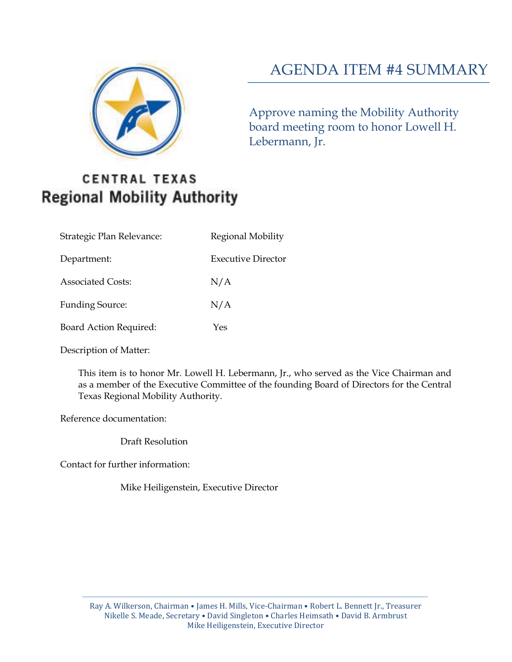

# AGENDA ITEM #4 SUMMARY

Approve naming the Mobility Authority board meeting room to honor Lowell H. Lebermann, Jr.

## **CENTRAL TEXAS Regional Mobility Authority**

| Strategic Plan Relevance:     | Regional Mobility         |
|-------------------------------|---------------------------|
| Department:                   | <b>Executive Director</b> |
| <b>Associated Costs:</b>      | N/A                       |
| <b>Funding Source:</b>        | N/A                       |
| <b>Board Action Required:</b> | Yes                       |

Description of Matter:

This item is to honor Mr. Lowell H. Lebermann, Jr., who served as the Vice Chairman and as a member of the Executive Committee of the founding Board of Directors for the Central Texas Regional Mobility Authority.

Reference documentation:

Draft Resolution

Contact for further information:

Mike Heiligenstein, Executive Director